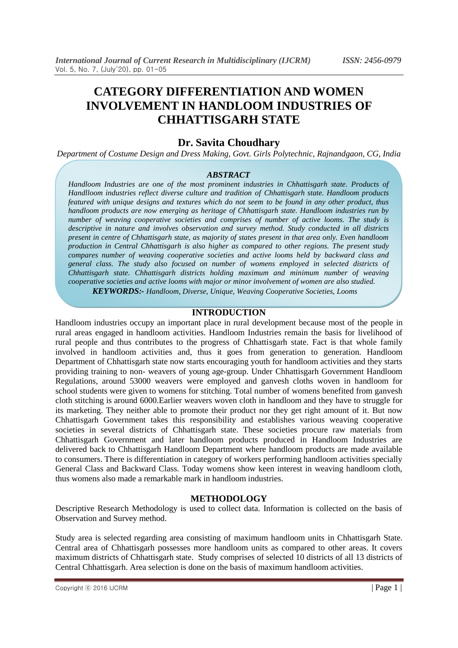# **CATEGORY DIFFERENTIATION AND WOMEN INVOLVEMENT IN HANDLOOM INDUSTRIES OF CHHATTISGARH STATE**

# **Dr. Savita Choudhary**

*Department of Costume Design and Dress Making, Govt. Girls Polytechnic, Rajnandgaon, CG, India* 

### *ABSTRACT*

*Handloom Industries are one of the most prominent industries in Chhattisgarh state. Products of Handlloom industries reflect diverse culture and tradition of Chhattisgarh state. Handloom products featured with unique designs and textures which do not seem to be found in any other product, thus handloom products are now emerging as heritage of Chhattisgarh state. Handloom industries run by number of weaving cooperative societies and comprises of number of active looms. The study is descriptive in nature and involves observation and survey method. Study conducted in all districts present in centre of Chhattisgarh state, as majority of states present in that area only. Even handloom production in Central Chhattisgarh is also higher as compared to other regions. The present study compares number of weaving cooperative societies and active looms held by backward class and general class. The study also focused on number of womens employed in selected districts of Chhattisgarh state. Chhattisgarh districts holding maximum and minimum number of weaving cooperative societies and active looms with major or minor involvement of women are also studied.*

*KEYWORDS:- Handloom, Diverse, Unique, Weaving Cooperative Societies, Looms*

## **INTRODUCTION**

Handloom industries occupy an important place in rural development because most of the people in rural areas engaged in handloom activities. Handloom Industries remain the basis for livelihood of rural people and thus contributes to the progress of Chhattisgarh state. Fact is that whole family involved in handloom activities and, thus it goes from generation to generation. Handloom Department of Chhattisgarh state now starts encouraging youth for handloom activities and they starts providing training to non- weavers of young age-group. Under Chhattisgarh Government Handloom Regulations, around 53000 weavers were employed and ganvesh cloths woven in handloom for school students were given to womens for stitching. Total number of womens benefited from ganvesh cloth stitching is around 6000.Earlier weavers woven cloth in handloom and they have to struggle for its marketing. They neither able to promote their product nor they get right amount of it. But now Chhattisgarh Government takes this responsibility and establishes various weaving cooperative societies in several districts of Chhattisgarh state. These societies procure raw materials from Chhattisgarh Government and later handloom products produced in Handloom Industries are delivered back to Chhattisgarh Handloom Department where handloom products are made available to consumers. There is differentiation in category of workers performing handloom activities specially General Class and Backward Class. Today womens show keen interest in weaving handloom cloth, thus womens also made a remarkable mark in handloom industries.

## **METHODOLOGY**

Descriptive Research Methodology is used to collect data. Information is collected on the basis of Observation and Survey method.

Study area is selected regarding area consisting of maximum handloom units in Chhattisgarh State. Central area of Chhattisgarh possesses more handloom units as compared to other areas. It covers maximum districts of Chhattisgarh state. Study comprises of selected 10 districts of all 13 districts of Central Chhattisgarh. Area selection is done on the basis of maximum handloom activities.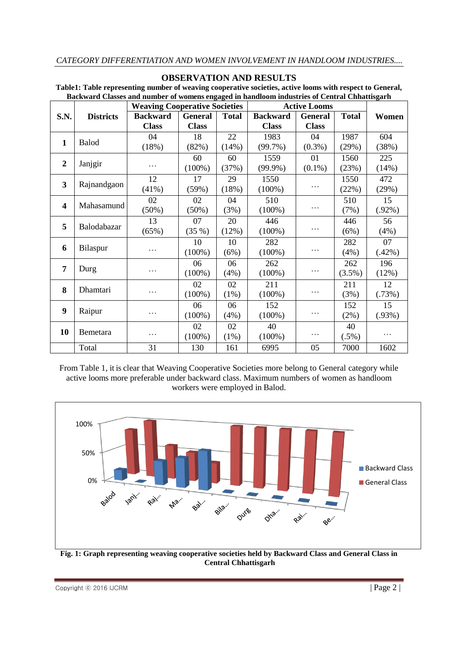## **OBSERVATION AND RESULTS**

|                  |                  | <b>Weaving Cooperative Societies</b> |                |              | <b>Active Looms</b> |                |              |           |
|------------------|------------------|--------------------------------------|----------------|--------------|---------------------|----------------|--------------|-----------|
| S.N.             | <b>Districts</b> | <b>Backward</b>                      | <b>General</b> | <b>Total</b> | <b>Backward</b>     | <b>General</b> | <b>Total</b> | Women     |
|                  |                  | <b>Class</b>                         | <b>Class</b>   |              | <b>Class</b>        | <b>Class</b>   |              |           |
| $\mathbf{1}$     | <b>Balod</b>     | 04                                   | 18             | 22           | 1983                | 04             | 1987         | 604       |
|                  |                  | (18%)                                | (82%)          | (14%)        | $(99.7\%)$          | $(0.3\%)$      | (29%)        | (38%)     |
| $\overline{2}$   | Janjgir          |                                      | 60             | 60           | 1559                | 01             | 1560         | 225       |
|                  |                  | $\cdots$                             | $(100\%)$      | (37%)        | $(99.9\%)$          | $(0.1\%)$      | (23%)        | (14%)     |
| 3                | Rajnandgaon      | 12                                   | 17             | 29           | 1550                |                | 1550         | 472       |
|                  |                  | (41%)                                | (59%)          | (18%)        | $(100\%)$           | .              | (22%)        | (29%)     |
| $\boldsymbol{4}$ | Mahasamund       | 02                                   | 02             | 04           | 510                 |                | 510          | 15        |
|                  |                  | (50%)                                | $(50\%)$       | (3%)         | $(100\%)$           | .              | (7%)         | $(.92\%)$ |
| 5                | Balodabazar      | 13                                   | 07             | 20           | 446                 |                | 446          | 56        |
|                  |                  | (65%)                                | (35%)          | (12%)        | $(100\%)$           | .              | (6%)         | (4%)      |
| 6                | Bilaspur         |                                      | 10             | 10           | 282                 |                | 282          | 07        |
|                  |                  | .                                    | $(100\%)$      | (6%)         | $(100\%)$           | .              | (4%)         | (.42%)    |
| 7                | Durg             |                                      | 06             | 06           | 262                 |                | 262          | 196       |
|                  |                  | .                                    | $(100\%)$      | (4%)         | $(100\%)$           | .              | $(3.5\%)$    | (12%)     |
| 8                | Dhamtari         |                                      | 02             | 02           | 211                 |                | 211          | 12        |
|                  |                  | .                                    | $(100\%)$      | $(1\%)$      | $(100\%)$           | .              | (3%)         | (.73%)    |
| 9                | Raipur           |                                      | 06             | 06           | 152                 |                | 152          | 15        |
|                  |                  | .                                    | $(100\%)$      | (4%)         | $(100\%)$           | .              | $(2\%)$      | (.93%)    |
| 10               | Bemetara         |                                      | 02             | 02           | 40                  |                | 40           |           |
|                  |                  |                                      | $(100\%)$      | (1%)         | $(100\%)$           | .              | $(.5\%)$     |           |

**Table1: Table representing number of weaving cooperative societies, active looms with respect to General, Backward Classes and number of womens engaged in handloom industries of Central Chhattisgarh**

From Table 1, it is clear that Weaving Cooperative Societies more belong to General category while active looms more preferable under backward class. Maximum numbers of women as handloom workers were employed in Balod.

Total 131 | 130 | 161 | 6995 | 05 | 7000 | 1602



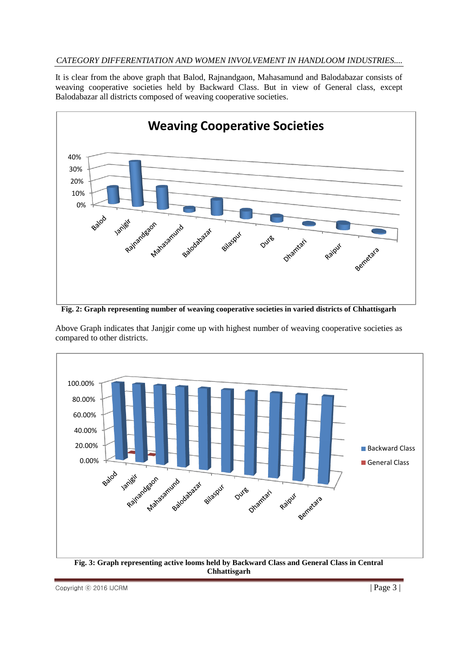# *CATEGORY DIFFERENTIATION AND WOMEN INVOLVEMENT IN HANDLOOM INDUSTRIES....*

It is clear from the above graph that Balod, Rajnandgaon, Mahasamund and Balodabazar consists of weaving cooperative societies held by Backward Class. But in view of General class, except Balodabazar all districts composed of weaving cooperative societies.



**Fig. 2: Graph representing number of weaving cooperative societies in varied districts of Chhattisgarh**

Above Graph indicates that Janjgir come up with highest number of weaving cooperative societies as compared to other districts.

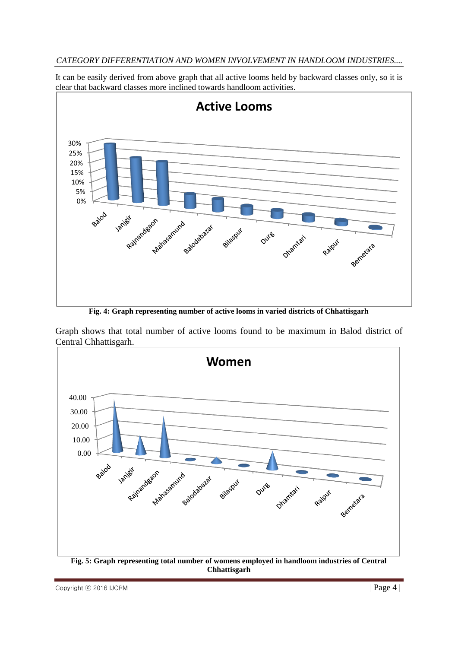# *CATEGORY DIFFERENTIATION AND WOMEN INVOLVEMENT IN HANDLOOM INDUSTRIES....*

It can be easily derived from above graph that all active looms held by backward classes only, so it is clear that backward classes more inclined towards handloom activities.



**Fig. 4: Graph representing number of active looms in varied districts of Chhattisgarh**

Graph shows that total number of active looms found to be maximum in Balod district of Central Chhattisgarh.



 $\text{Copyright} \odot$  2016 IJCRM  $\vert \text{Page 4} \vert$